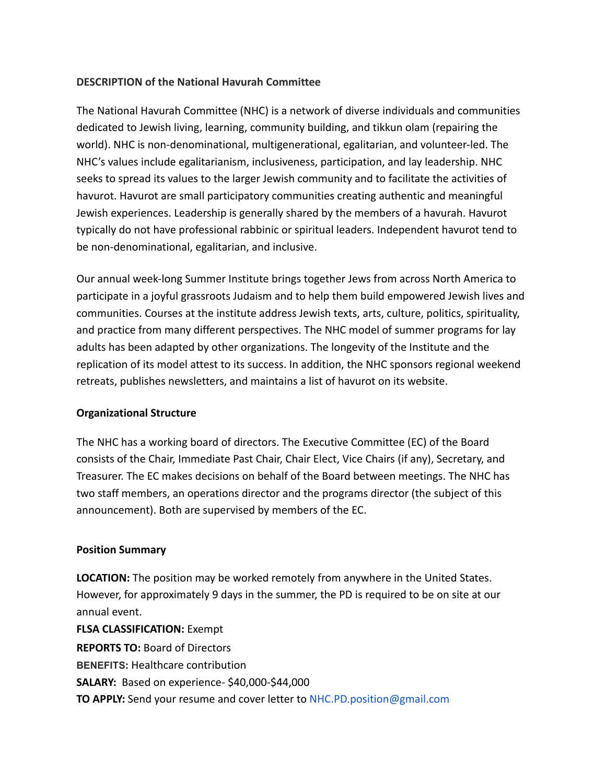# **DESCRIPTION of the National Havurah Committee**

The National Havurah Committee (NHC) is a network of diverse individuals and communities dedicated to Jewish living, learning, community building, and tikkun olam (repairing the world). NHC is non-denominational, multigenerational, egalitarian, and volunteer-led. The NHC's values include egalitarianism, inclusiveness, participation, and lay leadership. NHC seeks to spread its values to the larger Jewish community and to facilitate the activities of havurot. Havurot are small participatory communities creating authentic and meaningful Jewish experiences. Leadership is generally shared by the members of a havurah. Havurot typically do not have professional rabbinic or spiritual leaders. Independent havurot tend to be non-denominational, egalitarian, and inclusive.

Our annual week-long Summer Institute brings together Jews from across North America to participate in a joyful grassroots Judaism and to help them build empowered Jewish lives and communities. Courses at the institute address Jewish texts, arts, culture, politics, spirituality, and practice from many different perspectives. The NHC model of summer programs for lay adults has been adapted by other organizations. The longevity of the Institute and the replication of its model attest to its success. In addition, the NHC sponsors regional weekend retreats, publishes newsletters, and maintains a list of havurot on its website.

## **Organizational Structure**

The NHC has a working board of directors. The Executive Committee (EC) of the Board consists of the Chair, Immediate Past Chair, Chair Elect, Vice Chairs (if any), Secretary, and Treasurer. The EC makes decisions on behalf of the Board between meetings. The NHC has two staff members, an operations director and the programs director (the subject of this announcement). Both are supervised by members of the EC.

## **Position Summary**

**LOCATION:** The position may be worked remotely from anywhere in the United States. However, for approximately 9 days in the summer, the PD is required to be on site at our annual event.

**FLSA CLASSIFICATION:** Exempt **REPORTS TO:** Board of Directors **BENEFITS:** Healthcare contribution **SALARY:** Based on experience- \$40,000-\$44,000 **TO APPLY:** Send your resume and cover letter to [NHC.PD.position@gmail.com](mailto:NHC.PD.position@gmail.com)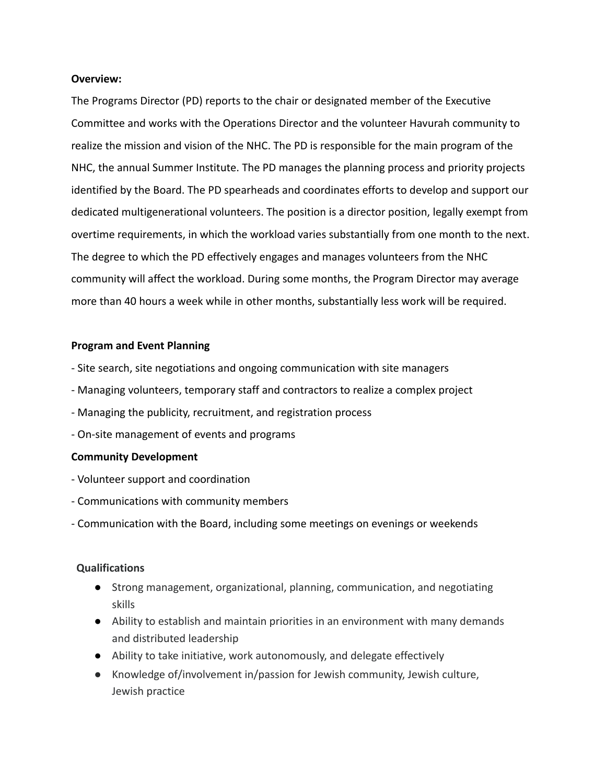#### **Overview:**

The Programs Director (PD) reports to the chair or designated member of the Executive Committee and works with the Operations Director and the volunteer Havurah community to realize the mission and vision of the NHC. The PD is responsible for the main program of the NHC, the annual Summer Institute. The PD manages the planning process and priority projects identified by the Board. The PD spearheads and coordinates efforts to develop and support our dedicated multigenerational volunteers. The position is a director position, legally exempt from overtime requirements, in which the workload varies substantially from one month to the next. The degree to which the PD effectively engages and manages volunteers from the NHC community will affect the workload. During some months, the Program Director may average more than 40 hours a week while in other months, substantially less work will be required.

#### **Program and Event Planning**

- Site search, site negotiations and ongoing communication with site managers
- Managing volunteers, temporary staff and contractors to realize a complex project
- Managing the publicity, recruitment, and registration process
- On-site management of events and programs

#### **Community Development**

- Volunteer support and coordination
- Communications with community members
- Communication with the Board, including some meetings on evenings or weekends

## **Qualifications**

- Strong management, organizational, planning, communication, and negotiating skills
- Ability to establish and maintain priorities in an environment with many demands and distributed leadership
- Ability to take initiative, work autonomously, and delegate effectively
- Knowledge of/involvement in/passion for Jewish community, Jewish culture, Jewish practice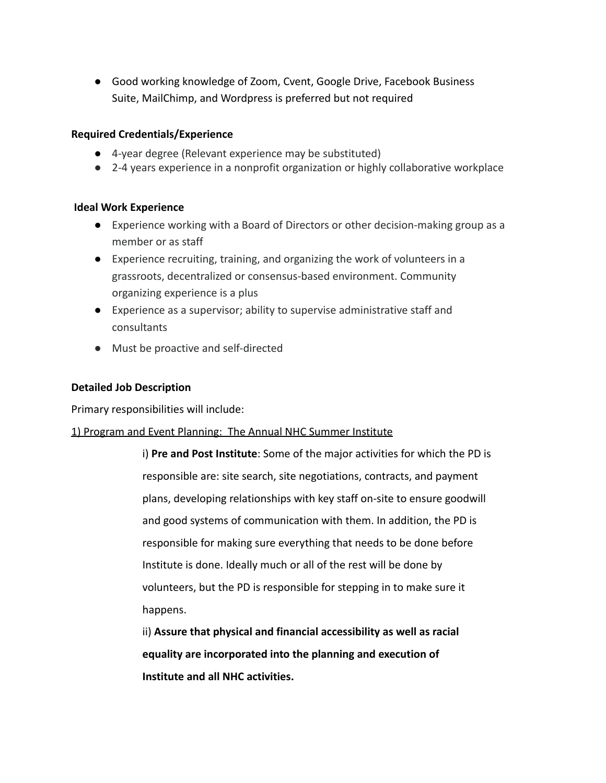● Good working knowledge of Zoom, Cvent, Google Drive, Facebook Business Suite, MailChimp, and Wordpress is preferred but not required

## **Required Credentials/Experience**

- 4-year degree (Relevant experience may be substituted)
- 2-4 years experience in a nonprofit organization or highly collaborative workplace

## **Ideal Work Experience**

- Experience working with a Board of Directors or other decision-making group as a member or as staff
- Experience recruiting, training, and organizing the work of volunteers in a grassroots, decentralized or consensus-based environment. Community organizing experience is a plus
- Experience as a supervisor; ability to supervise administrative staff and consultants
- Must be proactive and self-directed

## **Detailed Job Description**

Primary responsibilities will include:

#### 1) Program and Event Planning: The Annual NHC Summer Institute

i) **Pre and Post Institute**: Some of the major activities for which the PD is responsible are: site search, site negotiations, contracts, and payment plans, developing relationships with key staff on-site to ensure goodwill and good systems of communication with them. In addition, the PD is responsible for making sure everything that needs to be done before Institute is done. Ideally much or all of the rest will be done by volunteers, but the PD is responsible for stepping in to make sure it happens.

ii) **Assure that physical and financial accessibility as well as racial equality are incorporated into the planning and execution of Institute and all NHC activities.**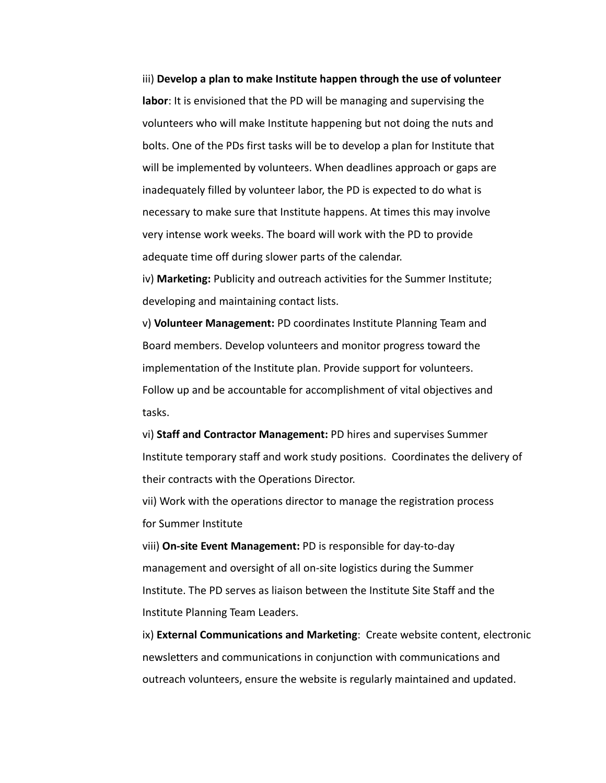iii) **Develop a plan to make Institute happen through the use of volunteer labor**: It is envisioned that the PD will be managing and supervising the volunteers who will make Institute happening but not doing the nuts and bolts. One of the PDs first tasks will be to develop a plan for Institute that will be implemented by volunteers. When deadlines approach or gaps are inadequately filled by volunteer labor, the PD is expected to do what is necessary to make sure that Institute happens. At times this may involve very intense work weeks. The board will work with the PD to provide adequate time off during slower parts of the calendar.

iv) **Marketing:** Publicity and outreach activities for the Summer Institute; developing and maintaining contact lists.

v) **Volunteer Management:** PD coordinates Institute Planning Team and Board members. Develop volunteers and monitor progress toward the implementation of the Institute plan. Provide support for volunteers. Follow up and be accountable for accomplishment of vital objectives and tasks.

vi) **Staff and Contractor Management:** PD hires and supervises Summer Institute temporary staff and work study positions. Coordinates the delivery of their contracts with the Operations Director.

vii) Work with the operations director to manage the registration process for Summer Institute

viii) **On-site Event Management:** PD is responsible for day-to-day management and oversight of all on-site logistics during the Summer Institute. The PD serves as liaison between the Institute Site Staff and the Institute Planning Team Leaders.

ix) **External Communications and Marketing**: Create website content, electronic newsletters and communications in conjunction with communications and outreach volunteers, ensure the website is regularly maintained and updated.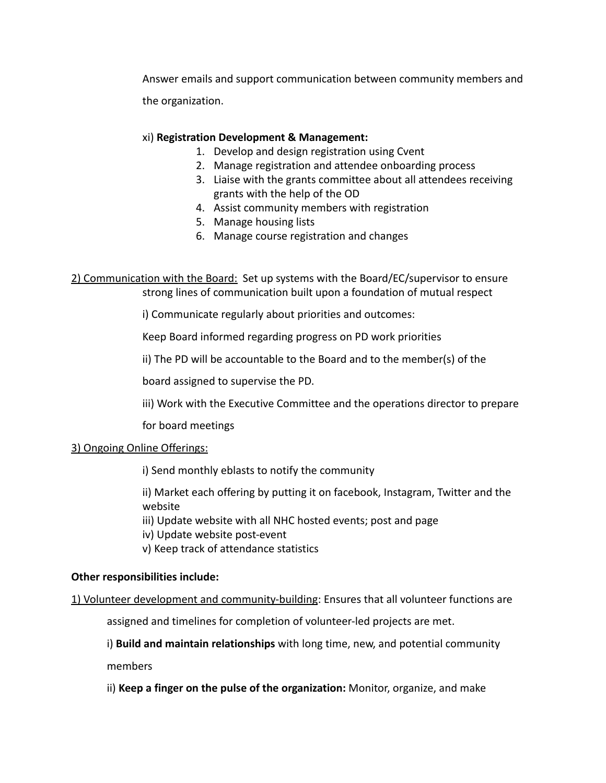Answer emails and support communication between community members and the organization.

# xi) **Registration Development & Management:**

- 1. Develop and design registration using Cvent
- 2. Manage registration and attendee onboarding process
- 3. Liaise with the grants committee about all attendees receiving grants with the help of the OD
- 4. Assist community members with registration
- 5. Manage housing lists
- 6. Manage course registration and changes

2) Communication with the Board: Set up systems with the Board/EC/supervisor to ensure strong lines of communication built upon a foundation of mutual respect

i) Communicate regularly about priorities and outcomes:

Keep Board informed regarding progress on PD work priorities

ii) The PD will be accountable to the Board and to the member(s) of the

board assigned to supervise the PD.

iii) Work with the Executive Committee and the operations director to prepare

for board meetings

## 3) Ongoing Online Offerings:

i) Send monthly eblasts to notify the community

ii) Market each offering by putting it on facebook, Instagram, Twitter and the website

iii) Update website with all NHC hosted events; post and page

iv) Update website post-event

v) Keep track of attendance statistics

## **Other responsibilities include:**

1) Volunteer development and community-building: Ensures that all volunteer functions are

assigned and timelines for completion of volunteer-led projects are met.

i) **Build and maintain relationships** with long time, new, and potential community members

ii) **Keep a finger on the pulse of the organization:** Monitor, organize, and make